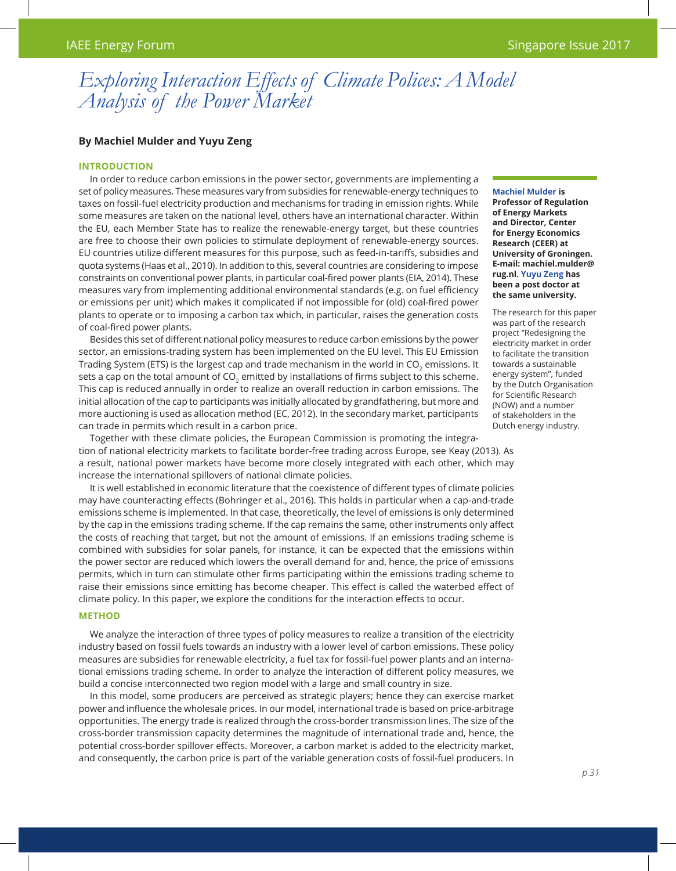# *Exploring Interaction Effects of Climate Polices: A Model Analysis of the Power Market*

## **By Machiel Mulder and Yuyu Zeng**

## **Introduction**

In order to reduce carbon emissions in the power sector, governments are implementing a set of policy measures. These measures vary from subsidies for renewable-energy techniques to taxes on fossil-fuel electricity production and mechanisms for trading in emission rights. While some measures are taken on the national level, others have an international character. Within the EU, each Member State has to realize the renewable-energy target, but these countries are free to choose their own policies to stimulate deployment of renewable-energy sources. EU countries utilize different measures for this purpose, such as feed-in-tariffs, subsidies and quota systems (Haas et al., 2010). In addition to this, several countries are considering to impose constraints on conventional power plants, in particular coal-fired power plants (EIA, 2014). These measures vary from implementing additional environmental standards (e.g. on fuel efficiency or emissions per unit) which makes it complicated if not impossible for (old) coal-fired power plants to operate or to imposing a carbon tax which, in particular, raises the generation costs of coal-fired power plants.

Besides this set of different national policy measures to reduce carbon emissions by the power sector, an emissions-trading system has been implemented on the EU level. This EU Emission Trading System (ETS) is the largest cap and trade mechanism in the world in CO<sub>2</sub> emissions. It sets a cap on the total amount of CO<sub>2</sub> emitted by installations of firms subject to this scheme. This cap is reduced annually in order to realize an overall reduction in carbon emissions. The initial allocation of the cap to participants was initially allocated by grandfathering, but more and more auctioning is used as allocation method (EC, 2012). In the secondary market, participants can trade in permits which result in a carbon price.

Together with these climate policies, the European Commission is promoting the integration of national electricity markets to facilitate border-free trading across Europe, see Keay (2013). As a result, national power markets have become more closely integrated with each other, which may increase the international spillovers of national climate policies.

It is well established in economic literature that the coexistence of different types of climate policies may have counteracting effects (Bohringer et al., 2016). This holds in particular when a cap-and-trade emissions scheme is implemented. In that case, theoretically, the level of emissions is only determined by the cap in the emissions trading scheme. If the cap remains the same, other instruments only affect the costs of reaching that target, but not the amount of emissions. If an emissions trading scheme is combined with subsidies for solar panels, for instance, it can be expected that the emissions within the power sector are reduced which lowers the overall demand for and, hence, the price of emissions permits, which in turn can stimulate other firms participating within the emissions trading scheme to raise their emissions since emitting has become cheaper. This effect is called the waterbed effect of climate policy. In this paper, we explore the conditions for the interaction effects to occur.

## **Method**

We analyze the interaction of three types of policy measures to realize a transition of the electricity industry based on fossil fuels towards an industry with a lower level of carbon emissions. These policy measures are subsidies for renewable electricity, a fuel tax for fossil-fuel power plants and an international emissions trading scheme. In order to analyze the interaction of different policy measures, we build a concise interconnected two region model with a large and small country in size.

In this model, some producers are perceived as strategic players; hence they can exercise market power and influence the wholesale prices. In our model, international trade is based on price-arbitrage opportunities. The energy trade is realized through the cross-border transmission lines. The size of the cross-border transmission capacity determines the magnitude of international trade and, hence, the potential cross-border spillover effects. Moreover, a carbon market is added to the electricity market, and consequently, the carbon price is part of the variable generation costs of fossil-fuel producers. In

#### **Machiel Mulder is**

**Professor of Regulation of Energy Markets and Director, Center for Energy Economics Research (CEER) at University of Groningen. E-mail: machiel.mulder@ rug.nl. Yuyu Zeng has been a post doctor at the same university.**

The research for this paper was part of the research project "Redesigning the electricity market in order to facilitate the transition towards a sustainable energy system", funded by the Dutch Organisation for Scientific Research (NOW) and a number of stakeholders in the Dutch energy industry.